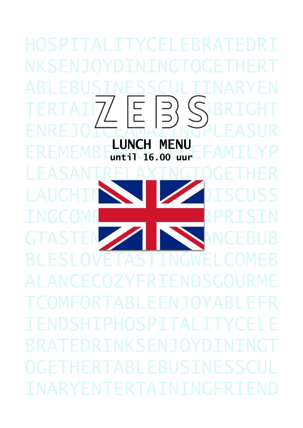Ŝ  $\begin{array}{c} \square \\ \square \end{array}$ **MENU**<br>00 uur **6.00**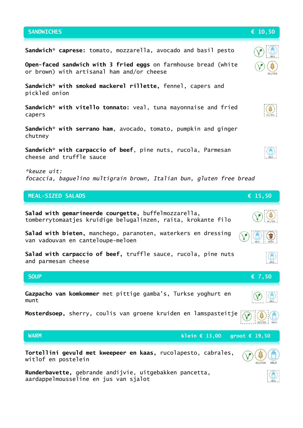## **Sandwich\* caprese:** tomato, mozzarella, avocado and basil pesto **Open-faced sandwich with 3 fried eggs** on farmhouse bread (white or brown) with artisanal ham and/or cheese **Sandwich\* with smoked mackerel rillette,** fennel, capers and pickled onion **Sandwich\* with vitello tonnato:** veal, tuna mayonnaise and fried capers **Sandwich\* with serrano ham**, avocado, tomato, pumpkin and ginger chutney **Sandwich\* with carpaccio of beef**, pine nuts, rucola, Parmesan cheese and truffle sauce *\*keuze uit: focaccia, baguelino multigrain brown, Italian bun, gluten free bread* **SANDWICHES € 10,50 MEAL-SIZED SALADS € 15,50**

**Salad with gemarineerde courgette,** buffelmozzarella, tomberrytomaatjes kruidige belugalinzen, raita, krokante filo **Salad with bieten,** manchego, paranoten, waterkers en dressing van vadouvan en canteloupe-meloen **Salad with carpaccio of beef,** truffle sauce, rucola, pine nuts and parmesan cheese SOUP  $\epsilon$  7,50 **Gazpacho van komkommer** met pittige gamba's, Turkse yoghurt en munt **Mosterdsoep,** sherry, coulis van groene kruiden en lamspasteitje **WARM klein € 13,00 groot € 19,50Tortellini gevuld met kweepeer en kaas,** rucolapesto, cabrales, witlof en postelein **GLUTEN** 

**Runderbavette,** gebrande andijvie, uitgebakken pancetta, aardappelmousseline en jus van sjalot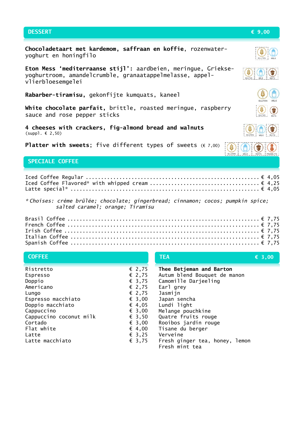## **DESSERT € 9,00 Chocoladetaart met kardemom, saffraan en koffie**, rozenwateryoghurt en honingfilo **Eton Mess 'mediterraanse stijl':** aardbeien, meringue, Griekse-隐 yoghurtroom, amandelcrumble, granaatappelmelasse, appelvlierbloesemgelei **Rabarber-tiramisu,** gekonfijte kumquats, kaneel **White chocolate parfait,** brittle, roasted meringue, raspberry sauce and rose pepper sticks **4 cheeses with crackers, fig-almond bread and walnuts**  (suppl. € 2,50) **Platter with sweets**; five different types of sweets (€ 7,00) Š **SPECIALE COFFEE**Iced Coffee Regular ......................................................... € 4,05 Iced Coffee Flavored\* with whipped cream .................................... € 4,25 Latte special\* .............................................................. € 4,05 *\* Choises: crème brûlée; chocolate; gingerbread; cinnamon; cocos; pumpkin spice; salted caramel; orange; Tiramisu* Brasil Coffee ............................................................... € 7,75 French Coffee ............................................................... € 7,75 Irish Coffee ................................................................ € 7,75 Italian Coffee .............................................................. € 7,75

| <b>COFFEE</b>           |                 | <b>TEA</b>                                       | $\epsilon$ 3,00 |
|-------------------------|-----------------|--------------------------------------------------|-----------------|
| Ristretto               | € 2,75          | Thee Betjeman and Barton                         |                 |
| Espresso                | $\epsilon$ 2,75 | Autum blend Bouquet de manon                     |                 |
| Doppio                  | $\epsilon$ 3,75 | Camomille Darjeeling                             |                 |
| Americano               | $\epsilon$ 2,75 | Earl grey                                        |                 |
| Lungo                   | $\epsilon$ 2,75 | Jasmijn                                          |                 |
| Espresso macchiato      | $\epsilon$ 3,00 | Japan sencha                                     |                 |
| Doppio macchiato        | $\epsilon$ 4,05 | Lundi light                                      |                 |
| Cappuccino              | $\epsilon$ 3,00 | Melange pouchkine                                |                 |
| Cappuccino coconut milk | $\epsilon$ 3,50 | Quatre fruits rouge                              |                 |
| Cortado                 | $\epsilon$ 3,00 | Rooibos jardin rouge                             |                 |
| Flat white              | $\epsilon$ 4,00 | Tisane du berger                                 |                 |
| Latte                   | $\epsilon$ 3,25 | Verveine                                         |                 |
| Latte macchiato         | € 3,75          | Fresh ginger tea, honey, lemon<br>Fresh mint tea |                 |

Spanish Coffee .............................................................. € 7,75